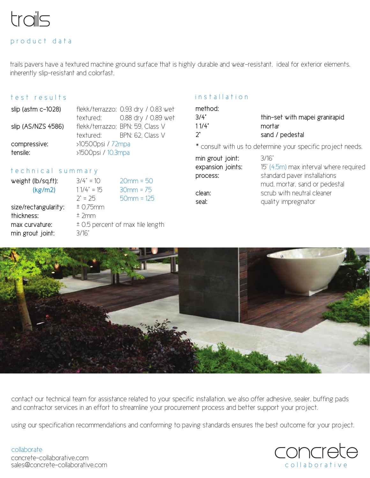

#### product data

trails pavers have a textured machine ground surface that is highly durable and wear-resistant. ideal for exterior elements. inherently slip-resistant and colorfast.

#### test results

|                    | flekk/terrazzo: 0.93 dry / 0.83 wet |
|--------------------|-------------------------------------|
|                    | textured: 0.88 dry / 0.89 wet       |
|                    | flekk/terrazzo: BPN: 59, Class V    |
|                    | textured: BPN: 62, Class V          |
| >10500psi / 72mpa  |                                     |
| >1500psi / 10.3mpa |                                     |
|                    |                                     |

#### t e chnical summary

# weight (lb/sq.ft): 3/4" = 10 20mm = 50 size/rectangularity:  $\pm$  0.75mm thickness: ± 2mm  $max$  curvature:  $\qquad \pm 0.5$  percent of max tile length

 $(kg/m2)$  1 1/4" = 15 30mm = 75  $2^{\circ} = 25$  50mm = 125 min grout joint: 3/16"

#### installation

| method:         |                                |
|-----------------|--------------------------------|
| 3/4"            | thin-set with mapei granirapid |
| 11/4"           | mortar                         |
| $\mathcal{D}^*$ | sand / pedestal                |
|                 |                                |

\* consult with us to determine your specific project needs.

| min grout joint:  | 3/16"                                  |
|-------------------|----------------------------------------|
| expansion joints: | 15' (4.5m) max interval where required |
| process:          | standard paver installations           |
|                   | mud, mortar, sand or pedestal          |
| clean:            | scrub with neutral cleaner             |
| seal:             | quality impregnator                    |
|                   |                                        |



contact our technical team for assistance related to your specific installation. we also offer adhesive, sealer, buffing pads and contractor services in an effort to streamline your procurement process and better support your project.

using our specification recommendations and conforming to paving standards ensures the best outcome for your project.

#### collaborate

sales@concrete-collaborative.com concrete-collaborative.com

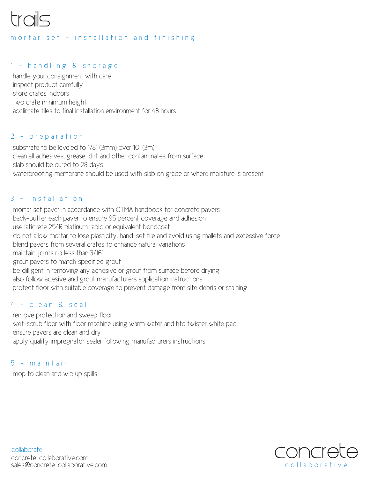# trails

#### mortar set - installation and finishing

# 1 - handling & storage

handle your consignment with care inspect product carefully store crates indoors two crate minimum height acclimate tiles to final installation environment for 48 hours

### 2 - preparation

substrate to be leveled to 1/8" (3mm) over 10' (3m) clean all adhesives, grease, dirt and other contaminates from surface slab should be cured to 28 days waterproofing membrane should be used with slab on grade or where moisture is present

### 3 - installation

mortar set paver in accordance with CTMA handbook for concrete pavers back-butter each paver to ensure 95 percent coverage and adhesion use laticrete 254R platinum rapid or equivalent bondcoat do not allow mortar to lose plasticity, hand-set tile and avoid using mallets and excessive force blend pavers from several crates to enhance natural variations maintain joints no less than 3/16" grout pavers to match specified grout be dilligent in removing any adhesive or grout from surface before drying also follow adesive and grout manufacturers application instructions protect floor with suitable coverage to prevent damage from site debris or staining

#### 4 - clean & seal

remove protection and sweep floor wet-scrub floor with floor machine using warm water and htc twister white pad ensure pavers are clean and dry apply quality impregnator sealer following manufacturers instructions

#### 5 - maintain

mop to clean and wip up spills



collaborate sales@concrete-collaborative.com concrete-collaborative.com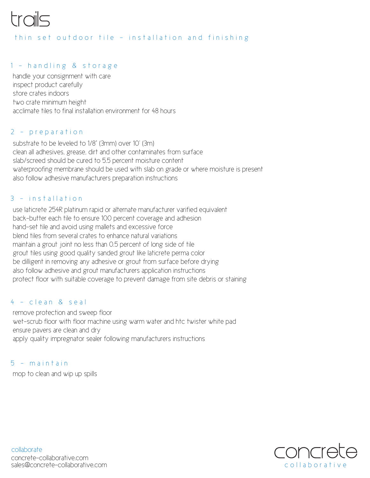# trails

#### thin set outdoor tile - installation and finishin g

## 1 - handling & storage

handle your consignment with care inspect product carefully store crates indoors two crate minimum height acclimate tiles to final installation environment for 48 hours

#### 2 - preparatio n

substrate to be leveled to 1/8" (3mm) over 10' (3m) clean all adhesives, grease, dirt and other contaminates from surface slab/screed should be cured to 5.5 percent moisture content waterproofing membrane should be used with slab on grade or where moisture is present also follow adhesive manufacturers preparation instructions

#### 3 - installatio n

use laticrete 254R platinum rapid or alternate manufacturer varified equivalent back-butter each tile to ensure 100 percent coverage and adhesion hand-set tile and avoid using mallets and excessive force blend tiles from several crates to enhance natural variations maintain a grout joint no less than 0.5 percent of long side of tile grout tiles using good quality sanded grout like laticrete perma color be dilligent in removing any adhesive or grout from surface before drying also follow adhesive and grout manufacturers application instructions protect floor with suitable coverage to prevent damage from site debris or staining

#### 4 - clean & sea l

remove protection and sweep floor wet-scrub floor with floor machine using warm water and htc twister white pad ensure pavers are clean and dry apply quality impregnator sealer following manufacturers instructions

#### 5 - maintai n

mop to clean and wip up spills



collaborate sales@concrete-collaborative.com concrete-collaborative.com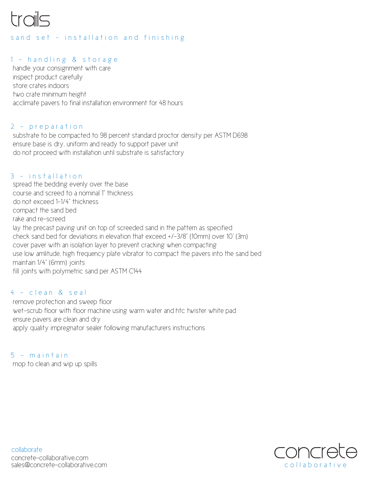

#### s and set - installation and finishing

# 1 - handling & storage

handle your consignment with care inspect product carefully store crates indoors two crate minimum height acclimate pavers to final installation environment for 48 hours

#### 2 - preparation

substrate to be compacted to 98 percent standard proctor density per ASTM D698 ensure base is dry, uniform and ready to support paver unit do not proceed with installation until substrate is satisfactory

#### 3 - installation

spread the bedding evenly over the base course and screed to a nominal 1" thickness do not exceed 1-1/4" thickness compact the sand bed rake and re-screed lay the precast paving unit on top of screeded sand in the pattern as specified check sand bed for deviations in elevation that exceed +/-3/8" (10mm) over 10' (3m) cover paver with an isolation layer to prevent cracking when compacting use low amlitude, high frequency plate vibrator to compact the pavers into the sand bed maintain 1/4" (6mm) joints fill joints with polymetric sand per ASTM C144

#### 4 - clean & seal

remove protection and sweep floor wet-scrub floor with floor machine using warm water and htc twister white pad ensure pavers are clean and dry apply quality impregnator sealer following manufacturers instructions

 $5 -$  m a in t a in mop to clean and wip up spills



collaborate sales@concrete-collaborative.com concrete-collaborative.com